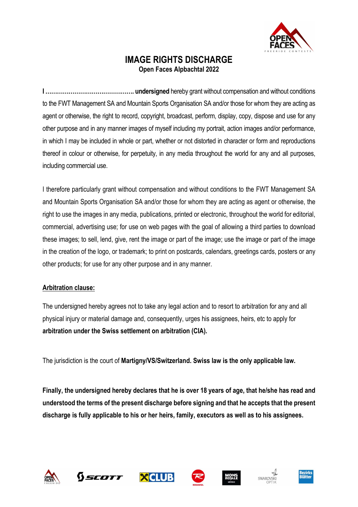

## IMAGE RIGHTS DISCHARGE Open Faces Alpbachtal 2022

I ………………………………………. undersigned hereby grant without compensation and without conditions to the FWT Management SA and Mountain Sports Organisation SA and/or those for whom they are acting as agent or otherwise, the right to record, copyright, broadcast, perform, display, copy, dispose and use for any other purpose and in any manner images of myself including my portrait, action images and/or performance, in which I may be included in whole or part, whether or not distorted in character or form and reproductions thereof in colour or otherwise, for perpetuity, in any media throughout the world for any and all purposes, including commercial use.

I therefore particularly grant without compensation and without conditions to the FWT Management SA and Mountain Sports Organisation SA and/or those for whom they are acting as agent or otherwise, the right to use the images in any media, publications, printed or electronic, throughout the world for editorial, commercial, advertising use; for use on web pages with the goal of allowing a third parties to download these images; to sell, lend, give, rent the image or part of the image; use the image or part of the image in the creation of the logo, or trademark; to print on postcards, calendars, greetings cards, posters or any other products; for use for any other purpose and in any manner.

#### Arbitration clause:

The undersigned hereby agrees not to take any legal action and to resort to arbitration for any and all physical injury or material damage and, consequently, urges his assignees, heirs, etc to apply for arbitration under the Swiss settlement on arbitration (CIA).

The jurisdiction is the court of Martigny/VS/Switzerland. Swiss law is the only applicable law.

Finally, the undersigned hereby declares that he is over 18 years of age, that he/she has read and understood the terms of the present discharge before signing and that he accepts that the present discharge is fully applicable to his or her heirs, family, executors as well as to his assignees.